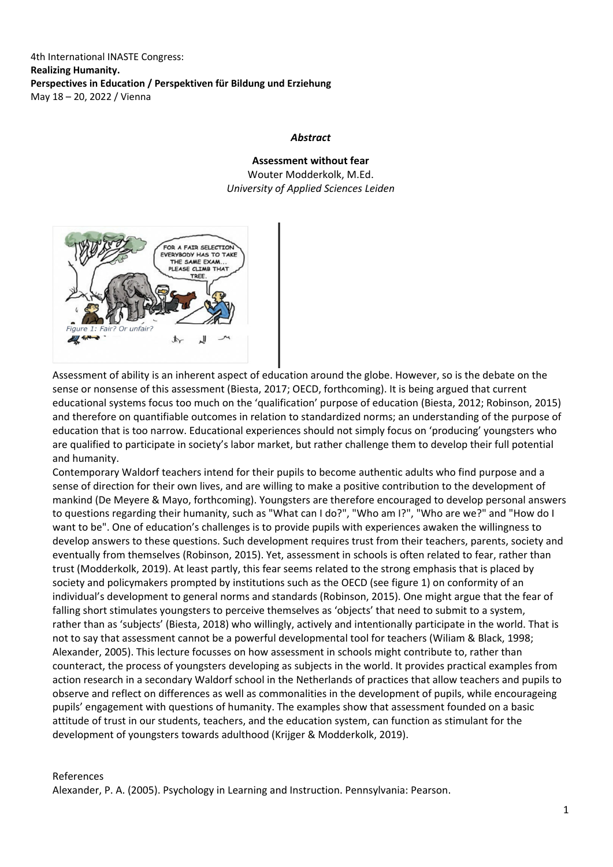4th International INASTE Congress: **Realizing Humanity. Perspectives in Education / Perspektiven für Bildung und Erziehung** May 18 – 20, 2022 / Vienna

## *Abstract*

**Assessment without fear** Wouter Modderkolk, M.Ed. *University of Applied Sciences Leiden*



Assessment of ability is an inherent aspect of education around the globe. However, so is the debate on the sense or nonsense of this assessment (Biesta, 2017; OECD, forthcoming). It is being argued that current educational systems focus too much on the 'qualification' purpose of education (Biesta, 2012; Robinson, 2015) and therefore on quantifiable outcomes in relation to standardized norms; an understanding of the purpose of education that is too narrow. Educational experiences should not simply focus on 'producing' youngsters who are qualified to participate in society's labor market, but rather challenge them to develop their full potential and humanity.

Contemporary Waldorf teachers intend for their pupils to become authentic adults who find purpose and a sense of direction for their own lives, and are willing to make a positive contribution to the development of mankind (De Meyere & Mayo, forthcoming). Youngsters are therefore encouraged to develop personal answers to questions regarding their humanity, such as "What can I do?", "Who am I?", "Who are we?" and "How do I want to be". One of education's challenges is to provide pupils with experiences awaken the willingness to develop answers to these questions. Such development requires trust from their teachers, parents, society and eventually from themselves (Robinson, 2015). Yet, assessment in schools is often related to fear, rather than trust (Modderkolk, 2019). At least partly, this fear seems related to the strong emphasis that is placed by society and policymakers prompted by institutions such as the OECD (see figure 1) on conformity of an individual's development to general norms and standards (Robinson, 2015). One might argue that the fear of falling short stimulates youngsters to perceive themselves as 'objects' that need to submit to a system, rather than as 'subjects' (Biesta, 2018) who willingly, actively and intentionally participate in the world. That is not to say that assessment cannot be a powerful developmental tool for teachers (Wiliam & Black, 1998; Alexander, 2005). This lecture focusses on how assessment in schools might contribute to, rather than counteract, the process of youngsters developing as subjects in the world. It provides practical examples from action research in a secondary Waldorf school in the Netherlands of practices that allow teachers and pupils to observe and reflect on differences as well as commonalities in the development of pupils, while encourageing pupils' engagement with questions of humanity. The examples show that assessment founded on a basic attitude of trust in our students, teachers, and the education system, can function as stimulant for the development of youngsters towards adulthood (Krijger & Modderkolk, 2019).

References

Alexander, P. A. (2005). Psychology in Learning and Instruction. Pennsylvania: Pearson.